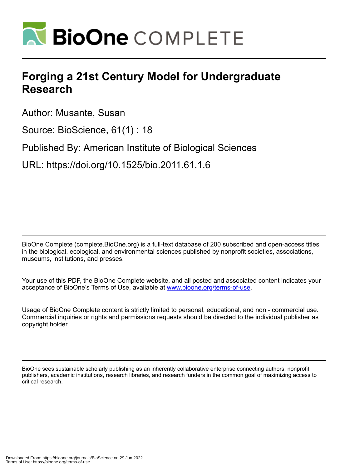

## **Forging a 21st Century Model for Undergraduate Research**

Author: Musante, Susan

Source: BioScience, 61(1) : 18

Published By: American Institute of Biological Sciences

URL: https://doi.org/10.1525/bio.2011.61.1.6

BioOne Complete (complete.BioOne.org) is a full-text database of 200 subscribed and open-access titles in the biological, ecological, and environmental sciences published by nonprofit societies, associations, museums, institutions, and presses.

Your use of this PDF, the BioOne Complete website, and all posted and associated content indicates your acceptance of BioOne's Terms of Use, available at www.bioone.org/terms-of-use.

Usage of BioOne Complete content is strictly limited to personal, educational, and non - commercial use. Commercial inquiries or rights and permissions requests should be directed to the individual publisher as copyright holder.

BioOne sees sustainable scholarly publishing as an inherently collaborative enterprise connecting authors, nonprofit publishers, academic institutions, research libraries, and research funders in the common goal of maximizing access to critical research.